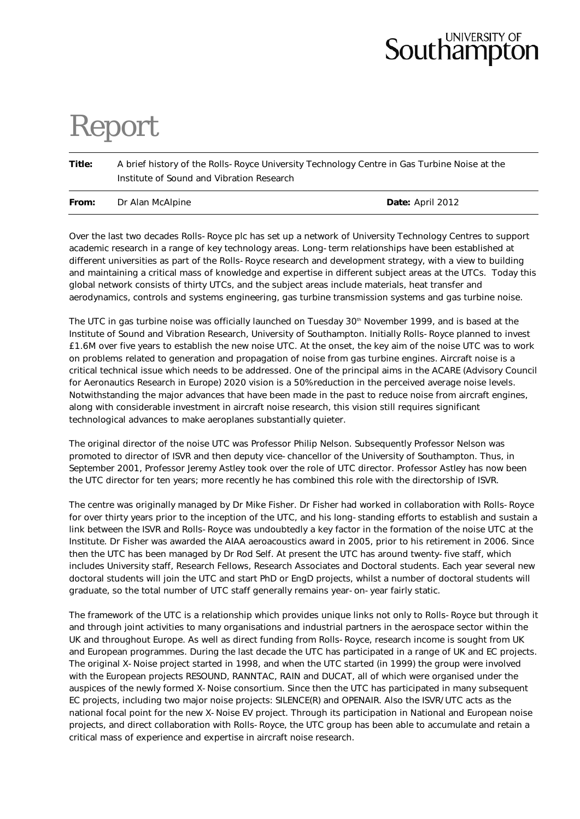## **Southampton**

## Report

**Title:** A brief history of the Rolls-Royce University Technology Centre in Gas Turbine Noise at the Institute of Sound and Vibration Research

| From: | Dr Alan McAlpine | Date: April 2012 |
|-------|------------------|------------------|

Over the last two decades Rolls-Royce plc has set up a network of University Technology Centres to support academic research in a range of key technology areas. Long-term relationships have been established at different universities as part of the Rolls-Royce research and development strategy, with a view to building and maintaining a critical mass of knowledge and expertise in different subject areas at the UTCs. Today this global network consists of thirty UTCs, and the subject areas include materials, heat transfer and aerodynamics, controls and systems engineering, gas turbine transmission systems and gas turbine noise.

The UTC in gas turbine noise was officially launched on Tuesday 30<sup>th</sup> November 1999, and is based at the Institute of Sound and Vibration Research, University of Southampton. Initially Rolls-Royce planned to invest £1.6M over five years to establish the new noise UTC. At the onset, the key aim of the noise UTC was to work on problems related to generation and propagation of noise from gas turbine engines. Aircraft noise is a critical technical issue which needs to be addressed. One of the principal aims in the ACARE (Advisory Council for Aeronautics Research in Europe) 2020 vision is a 50% reduction in the perceived average noise levels. Notwithstanding the major advances that have been made in the past to reduce noise from aircraft engines, along with considerable investment in aircraft noise research, this vision still requires significant technological advances to make aeroplanes substantially quieter.

The original director of the noise UTC was Professor Philip Nelson. Subsequently Professor Nelson was promoted to director of ISVR and then deputy vice-chancellor of the University of Southampton. Thus, in September 2001, Professor Jeremy Astley took over the role of UTC director. Professor Astley has now been the UTC director for ten years; more recently he has combined this role with the directorship of ISVR.

The centre was originally managed by Dr Mike Fisher. Dr Fisher had worked in collaboration with Rolls-Royce for over thirty years prior to the inception of the UTC, and his long-standing efforts to establish and sustain a link between the ISVR and Rolls-Royce was undoubtedly a key factor in the formation of the noise UTC at the Institute. Dr Fisher was awarded the AIAA aeroacoustics award in 2005, prior to his retirement in 2006. Since then the UTC has been managed by Dr Rod Self. At present the UTC has around twenty-five staff, which includes University staff, Research Fellows, Research Associates and Doctoral students. Each year several new doctoral students will join the UTC and start PhD or EngD projects, whilst a number of doctoral students will graduate, so the total number of UTC staff generally remains year-on-year fairly static.

The framework of the UTC is a relationship which provides unique links not only to Rolls-Royce but through it and through joint activities to many organisations and industrial partners in the aerospace sector within the UK and throughout Europe. As well as direct funding from Rolls-Royce, research income is sought from UK and European programmes. During the last decade the UTC has participated in a range of UK and EC projects. The original X-Noise project started in 1998, and when the UTC started (in 1999) the group were involved with the European projects RESOUND, RANNTAC, RAIN and DUCAT, all of which were organised under the auspices of the newly formed X-Noise consortium. Since then the UTC has participated in many subsequent EC projects, including two major noise projects: SILENCE(R) and OPENAIR. Also the ISVR/UTC acts as the national focal point for the new X-Noise EV project. Through its participation in National and European noise projects, and direct collaboration with Rolls-Royce, the UTC group has been able to accumulate and retain a critical mass of experience and expertise in aircraft noise research.